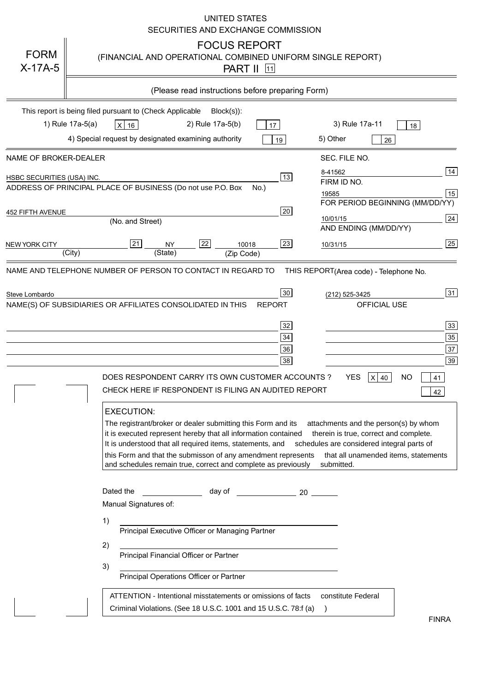|                            | UNITED STATES<br>SECURITIES AND EXCHANGE COMMISSION                                                                                                                                                                                                                                                                                                                                                                                                                                                                                                                                                                                                                                                                                                                                                                                                                                                                                                                                                                                                                                |
|----------------------------|------------------------------------------------------------------------------------------------------------------------------------------------------------------------------------------------------------------------------------------------------------------------------------------------------------------------------------------------------------------------------------------------------------------------------------------------------------------------------------------------------------------------------------------------------------------------------------------------------------------------------------------------------------------------------------------------------------------------------------------------------------------------------------------------------------------------------------------------------------------------------------------------------------------------------------------------------------------------------------------------------------------------------------------------------------------------------------|
| <b>FORM</b><br>$X-17A-5$   | <b>FOCUS REPORT</b><br>(FINANCIAL AND OPERATIONAL COMBINED UNIFORM SINGLE REPORT)<br><b>PART II</b> 11                                                                                                                                                                                                                                                                                                                                                                                                                                                                                                                                                                                                                                                                                                                                                                                                                                                                                                                                                                             |
|                            | (Please read instructions before preparing Form)                                                                                                                                                                                                                                                                                                                                                                                                                                                                                                                                                                                                                                                                                                                                                                                                                                                                                                                                                                                                                                   |
|                            | This report is being filed pursuant to (Check Applicable<br>$Block(s)$ :<br>1) Rule 17a-5(a)<br>3) Rule 17a-11<br>2) Rule 17a-5(b)<br>$X$ 16<br>17<br>18<br>4) Special request by designated examining authority<br>5) Other<br>19<br>26                                                                                                                                                                                                                                                                                                                                                                                                                                                                                                                                                                                                                                                                                                                                                                                                                                           |
| NAME OF BROKER-DEALER      | SEC. FILE NO.                                                                                                                                                                                                                                                                                                                                                                                                                                                                                                                                                                                                                                                                                                                                                                                                                                                                                                                                                                                                                                                                      |
| HSBC SECURITIES (USA) INC. | 14<br>8-41562<br>13<br>FIRM ID NO.<br>ADDRESS OF PRINCIPAL PLACE OF BUSINESS (Do not use P.O. Box<br>$No.$ )<br>15<br>19585<br>FOR PERIOD BEGINNING (MM/DD/YY)                                                                                                                                                                                                                                                                                                                                                                                                                                                                                                                                                                                                                                                                                                                                                                                                                                                                                                                     |
| 452 FIFTH AVENUE           | 20<br>24<br>10/01/15<br>(No. and Street)<br>AND ENDING (MM/DD/YY)                                                                                                                                                                                                                                                                                                                                                                                                                                                                                                                                                                                                                                                                                                                                                                                                                                                                                                                                                                                                                  |
| <b>NEW YORK CITY</b>       | $\overline{25}$<br>21<br>22<br>23<br><b>NY</b><br>10018<br>10/31/15<br>(City)<br>(State)<br>(Zip Code)                                                                                                                                                                                                                                                                                                                                                                                                                                                                                                                                                                                                                                                                                                                                                                                                                                                                                                                                                                             |
| Steve Lombardo             | THIS REPORT(Area code) - Telephone No.<br>31<br>30<br>(212) 525-3425<br>NAME(S) OF SUBSIDIARIES OR AFFILIATES CONSOLIDATED IN THIS<br>OFFICIAL USE<br><b>REPORT</b><br>$\overline{33}$<br>32<br>$35\,$<br>34<br>$\overline{37}$<br>36<br>39<br>38<br><b>YES</b><br>DOES RESPONDENT CARRY ITS OWN CUSTOMER ACCOUNTS?<br>ΝO<br>$X$ 40<br>41<br>CHECK HERE IF RESPONDENT IS FILING AN AUDITED REPORT<br>42<br><b>EXECUTION:</b><br>The registrant/broker or dealer submitting this Form and its<br>attachments and the person(s) by whom<br>it is executed represent hereby that all information contained<br>therein is true, correct and complete.<br>It is understood that all required items, statements, and<br>schedules are considered integral parts of<br>this Form and that the submisson of any amendment represents<br>that all unamended items, statements<br>and schedules remain true, correct and complete as previously<br>submitted.<br>Dated the<br>day of the control of the control of the control of the control of the control of the control of the control o |
|                            | Manual Signatures of:<br>1)<br>Principal Executive Officer or Managing Partner<br>2)<br>Principal Financial Officer or Partner<br>3)<br>Principal Operations Officer or Partner<br>ATTENTION - Intentional misstatements or omissions of facts<br>constitute Federal<br>Criminal Violations. (See 18 U.S.C. 1001 and 15 U.S.C. 78:f (a)<br>$\rightarrow$                                                                                                                                                                                                                                                                                                                                                                                                                                                                                                                                                                                                                                                                                                                           |
|                            | <b>FINRA</b>                                                                                                                                                                                                                                                                                                                                                                                                                                                                                                                                                                                                                                                                                                                                                                                                                                                                                                                                                                                                                                                                       |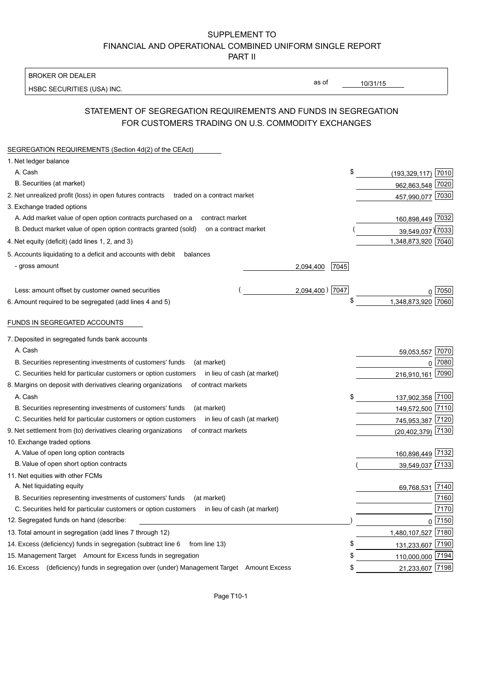### SUPPLEMENT TO FINANCIAL AND OPERATIONAL COMBINED UNIFORM SINGLE REPORT PART II

**BROKER OR DEALER** 

HSBC SECURITIES (USA) INC.

 $10/31/15$ 

as of

## STATEMENT OF SEGREGATION REQUIREMENTS AND FUNDS IN SEGREGATION FOR CUSTOMERS TRADING ON U.S. COMMODITY EXCHANGES

| SEGREGATION REQUIREMENTS (Section 4d(2) of the CEAct)                                          |                             |
|------------------------------------------------------------------------------------------------|-----------------------------|
| 1. Net ledger balance                                                                          |                             |
| A. Cash                                                                                        | \$<br>(193,329,117) 7010    |
| B. Securities (at market)                                                                      | 962,863,548 7020            |
| 2. Net unrealized profit (loss) in open futures contracts<br>traded on a contract market       | 457,990,077 7030            |
| 3. Exchange traded options                                                                     |                             |
| A. Add market value of open option contracts purchased on a<br>contract market                 | 160,898,449 7032            |
| B. Deduct market value of open option contracts granted (sold)<br>on a contract market         | 39,549,037) 7033            |
| 4. Net equity (deficit) (add lines 1, 2, and 3)                                                | 1,348,873,920 7040          |
| 5. Accounts liquidating to a deficit and accounts with debit<br>balances                       |                             |
| - gross amount                                                                                 | 7045<br>2,094,400           |
|                                                                                                |                             |
| Less: amount offset by customer owned securities                                               | 2,094,400) 7047<br>7050     |
| 6. Amount required to be segregated (add lines 4 and 5)                                        | \$<br>1,348,873,920<br>7060 |
| FUNDS IN SEGREGATED ACCOUNTS                                                                   |                             |
| 7. Deposited in segregated funds bank accounts                                                 |                             |
| A. Cash                                                                                        | 7070<br>59,053,557          |
| B. Securities representing investments of customers' funds<br>(at market)                      | 7080<br>$\Omega$            |
| C. Securities held for particular customers or option customers<br>in lieu of cash (at market) | 7090<br>216,910,161         |
| 8. Margins on deposit with derivatives clearing organizations<br>of contract markets           |                             |
| A. Cash                                                                                        | \$<br>7100<br>137,902,358   |
| B. Securities representing investments of customers' funds<br>(at market)                      | 149,572,500 7110            |
| C. Securities held for particular customers or option customers<br>in lieu of cash (at market) | 745,953,387 7120            |
| 9. Net settlement from (to) derivatives clearing organizations<br>of contract markets          | 7130<br>(20, 402, 379)      |
| 10. Exchange traded options                                                                    |                             |
| A. Value of open long option contracts                                                         | 160,898,449 7132            |
| B. Value of open short option contracts                                                        | 39,549,037 7133             |
| 11. Net equities with other FCMs                                                               |                             |
| A. Net liquidating equity                                                                      | 7140<br>69,768,531          |
| B. Securities representing investments of customers' funds<br>(at market)                      | 7160                        |
| C. Securities held for particular customers or option customers<br>in lieu of cash (at market) | 7170                        |
| 12. Segregated funds on hand (describe:                                                        | 0 7150                      |
| 13. Total amount in segregation (add lines 7 through 12)                                       | 1,480,107,527 7180          |
| 14. Excess (deficiency) funds in segregation (subtract line 6<br>from line 13)                 | \$<br>131,233,607 7190      |
| 15. Management Target Amount for Excess funds in segregation                                   | 110,000,000 7194            |
| 16. Excess (deficiency) funds in segregation over (under) Management Target Amount Excess      | 21,233,607 7198<br>\$       |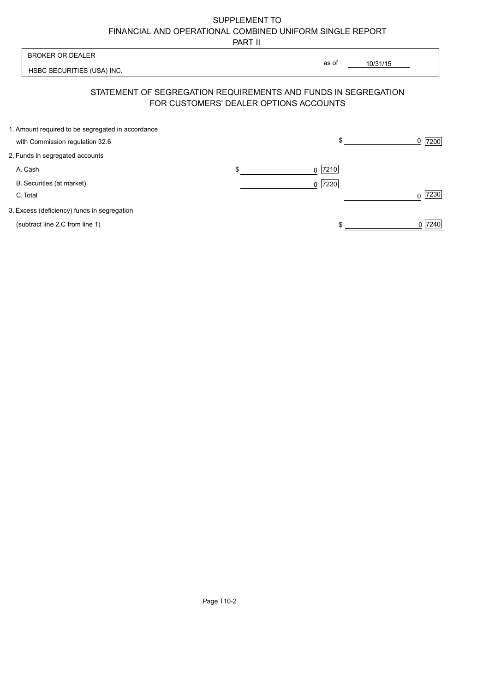# SUPPLEMENT TO FINANCIAL AND OPERATIONAL COMBINED UNIFORM SINGLE REPORT

PART II

| <b>BROKER OR DEALER</b>                                                              |                                        | as of<br>10/31/15                                              |           |
|--------------------------------------------------------------------------------------|----------------------------------------|----------------------------------------------------------------|-----------|
| HSBC SECURITIES (USA) INC.                                                           |                                        |                                                                |           |
|                                                                                      | FOR CUSTOMERS' DEALER OPTIONS ACCOUNTS | STATEMENT OF SEGREGATION REQUIREMENTS AND FUNDS IN SEGREGATION |           |
| 1. Amount required to be segregated in accordance<br>with Commission regulation 32.6 |                                        | \$                                                             | 7200<br>0 |
| 2. Funds in segregated accounts                                                      |                                        |                                                                |           |
| A. Cash                                                                              | \$                                     | 7210<br>0                                                      |           |
| B. Securities (at market)<br>C. Total                                                |                                        | $0$  7220                                                      | 7230<br>0 |
| 3. Excess (deficiency) funds in segregation                                          |                                        |                                                                |           |
| (subtract line 2.C from line 1)                                                      |                                        |                                                                | 7240<br>0 |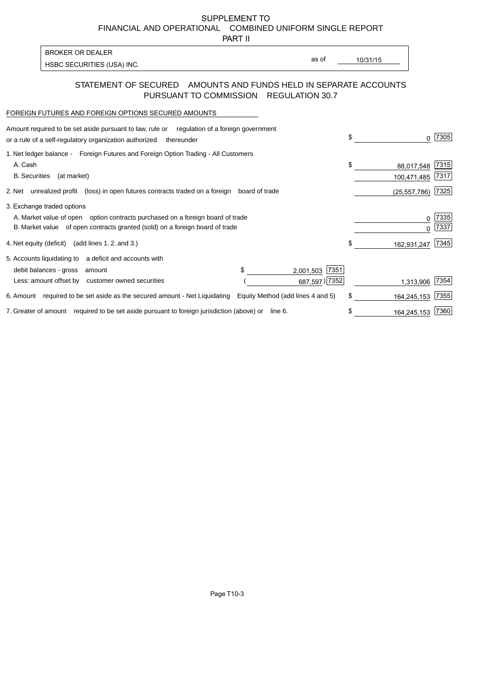SUPPLEMENT TO FINANCIAL AND OPERATIONAL COMBINED UNIFORM SINGLE REPORT

PART II

| <b>BROKER OR DEALER</b>    |
|----------------------------|
| HSBC SECURITIES (USA) INC. |

as of

10/31/15

#### STATEMENT OF SECURED AMOUNTS AND FUNDS HELD IN SEPARATE ACCOUNTS PURSUANT TO COMMISSION REGULATION 30.7

#### FOREIGN FUTURES AND FOREIGN OPTIONS SECURED AMOUNTS

| Amount required to be set aside pursuant to law, rule or<br>regulation of a foreign government<br>or a rule of a self-regulatory organization authorized<br>thereunder                       | \$<br>U                         | 7305         |
|----------------------------------------------------------------------------------------------------------------------------------------------------------------------------------------------|---------------------------------|--------------|
| 1. Net ledger balance - Foreign Futures and Foreign Option Trading - All Customers<br>A. Cash<br><b>B.</b> Securities<br>(at market)                                                         | \$<br>88,017,548<br>100,471,485 | 7315<br>7317 |
| unrealized profit (loss) in open futures contracts traded on a foreign board of trade<br>2. Net                                                                                              | (25, 557, 786)                  | 7325         |
| 3. Exchange traded options<br>A. Market value of open option contracts purchased on a foreign board of trade<br>B. Market value of open contracts granted (sold) on a foreign board of trade | 0<br>O                          | 7335<br>7337 |
| 4. Net equity (deficit)<br>(add lines 1.2. and 3.)                                                                                                                                           | \$<br>162,931,247               | 7345         |
| a deficit and accounts with<br>5. Accounts liquidating to<br>7351<br>debit balances - gross<br>2,001,503<br>amount<br>687,597) 7352<br>Less: amount offset by customer owned securities      | 1,313,906                       | 7354         |
| 6. Amount required to be set aside as the secured amount - Net Liquidating<br>Equity Method (add lines 4 and 5)                                                                              | \$<br>164,245,153               | 7355         |
| 7. Greater of amount required to be set aside pursuant to foreign jurisdiction (above) or<br>line 6.                                                                                         | 164,245,153                     | 7360         |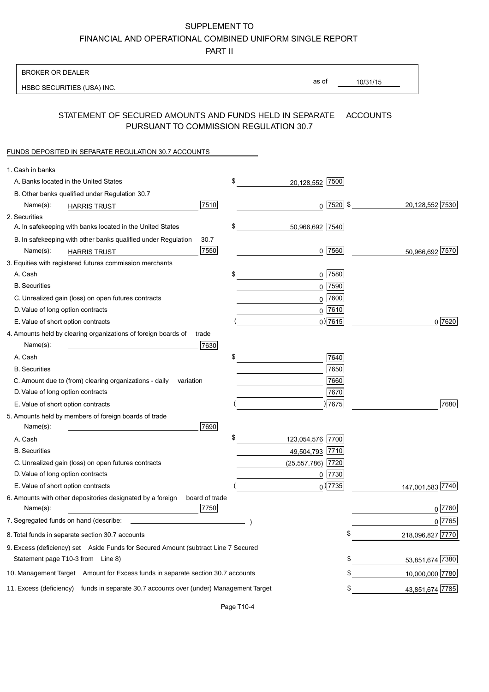SUPPLEMENT TO

FINANCIAL AND OPERATIONAL COMBINED UNIFORM SINGLE REPORT

PART II

| <b>BROKER OR DEALER</b>                                                                                              |                  |
|----------------------------------------------------------------------------------------------------------------------|------------------|
| as of<br>10/31/15<br>HSBC SECURITIES (USA) INC.                                                                      |                  |
|                                                                                                                      |                  |
| STATEMENT OF SECURED AMOUNTS AND FUNDS HELD IN SEPARATE<br><b>ACCOUNTS</b><br>PURSUANT TO COMMISSION REGULATION 30.7 |                  |
| FUNDS DEPOSITED IN SEPARATE REGULATION 30.7 ACCOUNTS                                                                 |                  |
| 1. Cash in banks                                                                                                     |                  |
| \$<br>A. Banks located in the United States<br>7500<br>20,128,552                                                    |                  |
| B. Other banks qualified under Regulation 30.7                                                                       |                  |
| 7510<br>$0$ 7520 \$<br>Name(s):<br><b>HARRIS TRUST</b>                                                               | 20,128,552 7530  |
| 2. Securities                                                                                                        |                  |
| \$<br>A. In safekeeping with banks located in the United States<br>50,966,692 7540                                   |                  |
| 30.7<br>B. In safekeeping with other banks qualified under Regulation                                                |                  |
| 7550<br>$0$  7560 <br>Name(s):<br><b>HARRIS TRUST</b>                                                                | 50,966,692 7570  |
| 3. Equities with registered futures commission merchants                                                             |                  |
| $0$ 7580<br>A. Cash<br>\$                                                                                            |                  |
| <b>B.</b> Securities<br>0 7590                                                                                       |                  |
| $0$ 7600<br>C. Unrealized gain (loss) on open futures contracts                                                      |                  |
| 0 7610<br>D. Value of long option contracts                                                                          |                  |
| $0)$ 7615<br>E. Value of short option contracts                                                                      | $0\sqrt{7620}$   |
| 4. Amounts held by clearing organizations of foreign boards of<br>trade                                              |                  |
| 7630<br>Name(s):                                                                                                     |                  |
| \$<br>A. Cash<br>7640                                                                                                |                  |
| 7650<br><b>B.</b> Securities                                                                                         |                  |
| 7660<br>C. Amount due to (from) clearing organizations - daily<br>variation                                          |                  |
| D. Value of long option contracts<br>7670                                                                            |                  |
| 7675 <br>E. Value of short option contracts                                                                          | 7680             |
| 5. Amounts held by members of foreign boards of trade<br>Name(s):<br>7690                                            |                  |
| \$<br>123,054,576 7700<br>A. Cash                                                                                    |                  |
| <b>B.</b> Securities<br>49,504,793 7710                                                                              |                  |
| (25, 557, 786)<br>C. Unrealized gain (loss) on open futures contracts<br>7720                                        |                  |
| D. Value of long option contracts<br>0 7730                                                                          |                  |
| $_0$ ) 7735<br>E. Value of short option contracts                                                                    | 147,001,583 7740 |
| 6. Amounts with other depositories designated by a foreign<br>board of trade<br>7750<br>Name(s):                     | 0 7760           |
| 7. Segregated funds on hand (describe:                                                                               | 07765            |
| \$<br>8. Total funds in separate section 30.7 accounts                                                               | 218,096,827 7770 |
| 9. Excess (deficiency) set Aside Funds for Secured Amount (subtract Line 7 Secured                                   |                  |
| \$<br>Statement page T10-3 from Line 8)                                                                              | 53,851,674 7380  |
| \$<br>10. Management Target Amount for Excess funds in separate section 30.7 accounts                                | 10,000,000 7780  |
| 11. Excess (deficiency) funds in separate 30.7 accounts over (under) Management Target<br>\$                         | 43,851,674 7785  |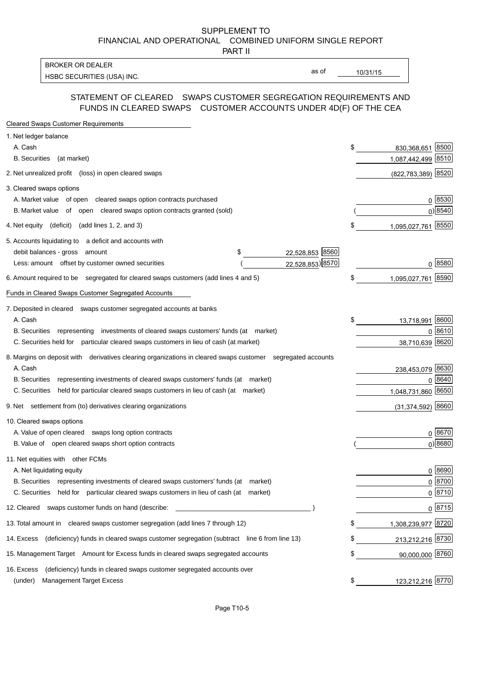SUPPLEMENT TO FINANCIAL AND OPERATIONAL COMBINED UNIFORM SINGLE REPORT

PART II

**BROKER OR DEALER** HSBC SECURITIES (USA) INC.

as of

 $10/31/15$ 

#### STATEMENT OF CLEARED SWAPS CUSTOMER SEGREGATION REQUIREMENTS AND FUNDS IN CLEARED SWAPS CUSTOMER ACCOUNTS UNDER 4D(F) OF THE CEA

| Cleared Swaps Customer Requirements                                                                         |    |                         |
|-------------------------------------------------------------------------------------------------------------|----|-------------------------|
| 1. Net ledger balance                                                                                       |    |                         |
| A. Cash                                                                                                     | \$ | 830,368,651 8500        |
| <b>B.</b> Securities<br>(at market)                                                                         |    | 1,087,442,499 8510      |
| 2. Net unrealized profit (loss) in open cleared swaps                                                       |    | 8520<br>(822, 783, 389) |
| 3. Cleared swaps options                                                                                    |    |                         |
| A. Market value of open cleared swaps option contracts purchased                                            |    | 0 8530                  |
| B. Market value of open cleared swaps option contracts granted (sold)                                       |    | 0) 8540                 |
| 4. Net equity (deficit) (add lines 1, 2, and 3)                                                             | \$ | 1,095,027,761 8550      |
| 5. Accounts liquidating to a deficit and accounts with                                                      |    |                         |
| 22,528,853 8560<br>\$<br>debit balances - gross amount                                                      |    |                         |
| 22,528,853) 8570<br>Less: amount offset by customer owned securities                                        |    | $0^{8580}$              |
| 6. Amount required to be segregated for cleared swaps customers (add lines 4 and 5)                         |    | 8590<br>1,095,027,761   |
| Funds in Cleared Swaps Customer Segregated Accounts                                                         |    |                         |
| 7. Deposited in cleared swaps customer segregated accounts at banks                                         |    |                         |
| A. Cash                                                                                                     | \$ | 8600<br>13,718,991      |
| B. Securities representing investments of cleared swaps customers' funds (at market)                        |    | 0 8610                  |
| C. Securities held for particular cleared swaps customers in lieu of cash (at market)                       |    | 8620<br>38,710,639      |
| 8. Margins on deposit with derivatives clearing organizations in cleared swaps customer segregated accounts |    |                         |
| A. Cash                                                                                                     |    | 238,453,079 8630        |
| representing investments of cleared swaps customers' funds (at market)<br><b>B.</b> Securities              |    | 8640<br>$\Omega$        |
| held for particular cleared swaps customers in lieu of cash (at market)<br>C. Securities                    |    | 8650<br>1,048,731,860   |
| 9. Net settlement from (to) derivatives clearing organizations                                              |    | 8660<br>(31, 374, 592)  |
| 10. Cleared swaps options                                                                                   |    |                         |
| A. Value of open cleared swaps long option contracts                                                        |    | 0 8670                  |
| B. Value of open cleared swaps short option contracts                                                       |    | $0)$ 8680               |
| 11. Net equities with other FCMs                                                                            |    |                         |
| A. Net liquidating equity                                                                                   |    | 0 8690                  |
| B. Securities representing investments of cleared swaps customers' funds (at market)                        |    | $0 \overline{8700}$     |
| C. Securities held for particular cleared swaps customers in lieu of cash (at market)                       |    | 0 8710                  |
| 12. Cleared swaps customer funds on hand (describe:                                                         |    | $0 \; 8715$             |
| 13. Total amount in cleared swaps customer segregation (add lines 7 through 12)                             | \$ | 1,308,239,977 8720      |
| (deficiency) funds in cleared swaps customer segregation (subtract line 6 from line 13)<br>14. Excess       | S  | 213,212,216 8730        |
| 15. Management Target Amount for Excess funds in cleared swaps segregated accounts                          | \$ | 90,000,000 8760         |
| (deficiency) funds in cleared swaps customer segregated accounts over<br>16. Excess                         |    |                         |
| (under)<br><b>Management Target Excess</b>                                                                  | \$ | 123,212,216 8770        |